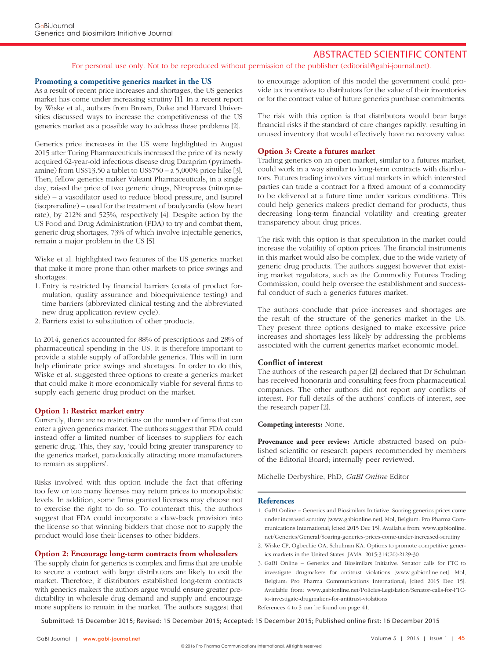# ABSTRACTED SCIENTIFIC CONTENT

For personal use only. Not to be reproduced without permission of the publisher (editorial@gabi-journal.net).

### **Promoting a competitive generics market in the US**

As a result of recent price increases and shortages, the US generics market has come under increasing scrutiny [1]. In a recent report by Wiske et al., authors from Brown, Duke and Harvard Universities discussed ways to increase the competitiveness of the US generics market as a possible way to address these problems [2].

Generics price increases in the US were highlighted in August 2015 after Turing Pharmaceuticals increased the price of its newly acquired 62-year-old infectious disease drug Daraprim (pyrimethamine) from US\$13.50 a tablet to US\$750 – a 5,000% price hike [3]. Then, fellow generics maker Valeant Pharmaceuticals, in a single day, raised the price of two generic drugs, Nitropress (nitroprusside) – a vasodilator used to reduce blood pressure, and Isuprel (isoprenaline) – used for the treatment of bradycardia (slow heart rate), by 212% and 525%, respectively [4]. Despite action by the US Food and Drug Administration (FDA) to try and combat them, generic drug shortages, 73% of which involve injectable generics, remain a major problem in the US [5].

Wiske et al. highlighted two features of the US generics market that make it more prone than other markets to price swings and shortages:

- 1. Entry is restricted by financial barriers (costs of product formulation, quality assurance and bioequivalence testing) and time barriers (abbreviated clinical testing and the abbreviated new drug application review cycle).
- 2. Barriers exist to substitution of other products.

In 2014, generics accounted for 88% of prescriptions and 28% of pharmaceutical spending in the US. It is therefore important to provide a stable supply of affordable generics. This will in turn help eliminate price swings and shortages. In order to do this, Wiske et al. suggested three options to create a generics market that could make it more economically viable for several firms to supply each generic drug product on the market.

#### **Option 1: Restrict market entry**

Currently, there are no restrictions on the number of firms that can enter a given generics market. The authors suggest that FDA could instead offer a limited number of licenses to suppliers for each generic drug. This, they say, 'could bring greater transparency to the generics market, paradoxically attracting more manufacturers to remain as suppliers'.

Risks involved with this option include the fact that offering too few or too many licenses may return prices to monopolistic levels. In addition, some firms granted licenses may choose not to exercise the right to do so. To counteract this, the authors suggest that FDA could incorporate a claw-back provision into the license so that winning bidders that chose not to supply the product would lose their licenses to other bidders.

# **Option 2: Encourage long-term contracts from wholesalers**

The supply chain for generics is complex and firms that are unable to secure a contract with large distributors are likely to exit the market. Therefore, if distributors established long-term contracts with generics makers the authors argue would ensure greater predictability in wholesale drug demand and supply and encourage more suppliers to remain in the market. The authors suggest that

to encourage adoption of this model the government could provide tax incentives to distributors for the value of their inventories or for the contract value of future generics purchase commitments.

The risk with this option is that distributors would bear large financial risks if the standard of care changes rapidly, resulting in unused inventory that would effectively have no recovery value.

## **Option 3: Create a futures market**

Trading generics on an open market, similar to a futures market, could work in a way similar to long-term contracts with distributors. Futures trading involves virtual markets in which interested parties can trade a contract for a fixed amount of a commodity to be delivered at a future time under various conditions. This could help generics makers predict demand for products, thus decreasing long-term financial volatility and creating greater transparency about drug prices.

The risk with this option is that speculation in the market could increase the volatility of option prices. The financial instruments in this market would also be complex, due to the wide variety of generic drug products. The authors suggest however that existing market regulators, such as the Commodity Futures Trading Commission, could help oversee the establishment and successful conduct of such a generics futures market.

The authors conclude that price increases and shortages are the result of the structure of the generics market in the US. They present three options designed to make excessive price increases and shortages less likely by addressing the problems associated with the current generics market economic model.

## **Conflict of interest**

The authors of the research paper [2] declared that Dr Schulman has received honoraria and consulting fees from pharmaceutical companies. The other authors did not report any conflicts of interest. For full details of the authors' conflicts of interest, see the research paper [2].

## **Competing interests:** None.

**Provenance and peer review:** Article abstracted based on published scientific or research papers recommended by members of the Editorial Board; internally peer reviewed.

Michelle Derbyshire, PhD, *GaBI Online* Editor

#### **References**

- 1. GaBI Online Generics and Biosimilars Initiative. Soaring generics prices come under increased scrutiny [www.gabionline.net]. Mol, Belgium: Pro Pharma Communications International; [cited 2015 Dec 15]. Available from: www.gabionline. net/Generics/General/Soaring-generics-prices-come-under-increased-scrutiny
- 2. Wiske CP, Ogbechie OA, Schulman KA. Options to promote competitive generics markets in the United States. JAMA. 2015;314(20):2129-30.
- 3. GaBI Online Generics and Biosimilars Initiative. Senator calls for FTC to investigate drugmakers for antitrust violations [www.gabionline.net]. Mol, Belgium: Pro Pharma Communications International; [cited 2015 Dec 15]. Available from: www.gabionline.net/Policies-Legislation/Senator-calls-for-FTCto-investigate-drugmakers-for-antitrust-violations

References 4 to 5 can be found on page 41.

Submitted: 15 December 2015; Revised: 15 December 2015; Accepted: 15 December 2015; Published online first: 16 December 2015